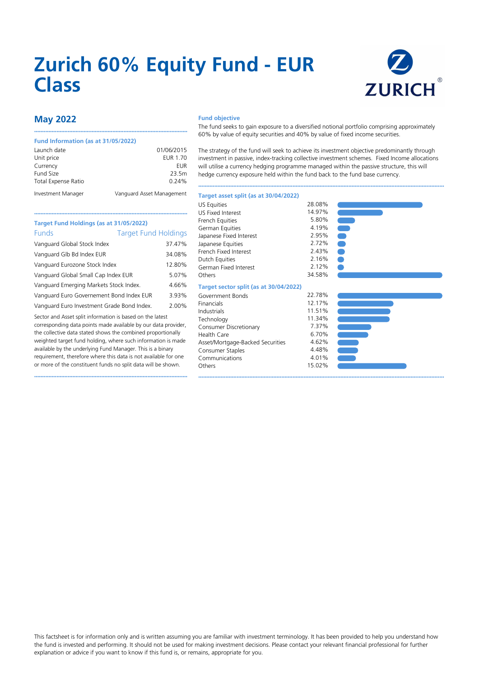# **Zurich 60% Equity Fund - EUR Class**



## **May 2022**

#### **Fund Information (as at 31/05/2022)**

| Launch date                | 01/06/2015                |
|----------------------------|---------------------------|
| Unit price                 | EUR 1.70                  |
| Currency                   | EUR                       |
| Fund Size                  | 23.5m                     |
| <b>Total Expense Ratio</b> | 0.24%                     |
| Investment Manager         | Vanguard Asset Management |

••••••••••••••••••••••••••••••••••••••••••••••••••••••••••••••••••••••••••••••••••••••••••••••••

#### **Fund objective**

The fund seeks to gain exposure to a diversified notional portfolio comprising approximately 60% by value of equity securities and 40% by value of fixed income securities.

The strategy of the fund will seek to achieve its investment objective predominantly through investment in passive, index-tracking collective investment schemes. Fixed Income allocations will utilise a currency hedging programme managed within the passive structure, this will hedge currency exposure held within the fund back to the fund base currency.

••••••••••••••••••••••••••••••••••••••••••••••••••••••••••••••••••••••••••••••••••••••••••••••••••••••••••••••••••••••••••••••••••••••••••••••••••••••••••

## **Target Fund Holdings (as at 31/05/2022)** Funds Target Fund Holdings Vanguard Global Stock Index 37.47% Vanguard Glb Bd Index EUR 34.08% Vanguard Eurozone Stock Index 12.80% Vanguard Global Small Cap Index EUR 5.07% Vanguard Emerging Markets Stock Index. 4.66% Vanguard Euro Governement Bond Index EUR 3.93%

••••••••••••••••••••••••••••••••••••••••••••••••••••••••••••••••••••••••••••••••••••••••••••••••

Vanguard Euro Investment Grade Bond Index. 2.00%

Sector and Asset split information is based on the latest corresponding data points made available by our data provider, the collective data stated shows the combined proportionally weighted target fund holding, where such information is made available by the underlying Fund Manager. This is a binary requirement, therefore where this data is not available for one or more of the constituent funds no split data will be shown.

••••••••••••••••••••••••••••••••••••••••••••••••••••••••••••••••••••••••••••••••••••••••••••••••

| Target asset split (as at 30/04/2022)  |        |
|----------------------------------------|--------|
| <b>US Equities</b>                     | 28.08% |
| <b>US Fixed Interest</b>               | 14.97% |
| French Equities                        | 5.80%  |
| German Equities                        | 4.19%  |
| Japanese Fixed Interest                | 2.95%  |
| Japanese Equities                      | 2.72%  |
| French Fixed Interest                  | 2.43%  |
| Dutch Equities                         | 2.16%  |
| German Fixed Interest                  | 2.12%  |
| Others                                 | 34.58% |
|                                        |        |
| Target sector split (as at 30/04/2022) |        |
| Government Bonds                       | 22.78% |
| Financials                             | 12.17% |
| Industrials                            | 11.51% |
| Technology                             | 11.34% |
| Consumer Discretionary                 | 7.37%  |
| <b>Health Care</b>                     | 6.70%  |
| Asset/Mortgage-Backed Securities       | 4.62%  |
| Consumer Staples                       | 4.48%  |
| Communications                         | 4.01%  |
| Others                                 | 15.02% |